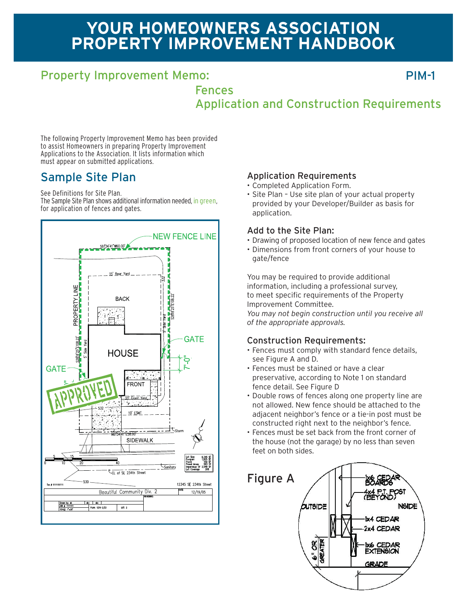# **YOUR HOMEOWNERS ASSOCIATION PROPERTY IMPROVEMENT HANDBOOK**

### Property Improvement Memo:

PIM-1

Fences Application and Construction Requirements

The following Property Improvement Memo has been provided to assist Homeowners in preparing Property Improvement Applications to the Association. It lists information which must appear on submitted applications.

### Sample Site Plan

See Definitions for Site Plan.

The Sample Site Plan shows additional information needed, in green, for application of fences and gates.



#### Application Requirements

- Completed Application Form.
- Site Plan Use site plan of your actual property provided by your Developer/Builder as basis for application.

#### Add to the Site Plan:

- Drawing of proposed location of new fence and gates
- Dimensions from front corners of your house to gate/fence

You may be required to provide additional information, including a professional survey, to meet specific requirements of the Property Improvement Committee. *You may not begin construction until you receive all of the appropriate approvals.*

#### Construction Requirements:

- Fences must comply with standard fence details, see Figure A and D.
- Fences must be stained or have a clear preservative, according to Note 1 on standard fence detail. See Figure D
- Double rows of fences along one property line are not allowed. New fence should be attached to the adjacent neighbor's fence or a tie-in post must be constructed right next to the neighbor's fence.
- Fences must be set back from the front corner of the house (not the garage) by no less than seven feet on both sides.

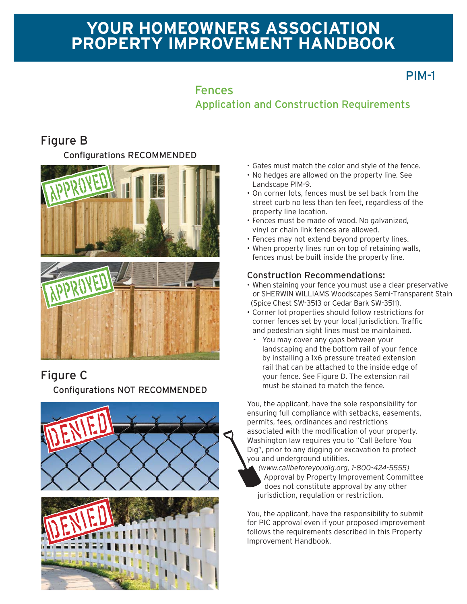# **YOUR HOMEOWNERS ASSOCIATION PROPERTY IMPROVEMENT HANDBOOK**

## PIM-1

### Fences

Application and Construction Requirements

### Figure B

#### Configurations RECOMMENDED



### Figure C

Configurations NOT RECOMMENDED



- Gates must match the color and style of the fence.
- No hedges are allowed on the property line. See Landscape PIM-9.
- On corner lots, fences must be set back from the street curb no less than ten feet, regardless of the property line location.
- Fences must be made of wood. No galvanized, vinyl or chain link fences are allowed.
- Fences may not extend beyond property lines.
- When property lines run on top of retaining walls, fences must be built inside the property line.

#### Construction Recommendations:

- When staining your fence you must use a clear preservative or SHERWIN WILLIAMS Woodscapes Semi-Transparent Stain (Spice Chest SW-3513 or Cedar Bark SW-3511).
- Corner lot properties should follow restrictions for corner fences set by your local jurisdiction. Traffic and pedestrian sight lines must be maintained.
	- You may cover any gaps between your landscaping and the bottom rail of your fence by installing a 1x6 pressure treated extension rail that can be attached to the inside edge of your fence. See Figure D. The extension rail must be stained to match the fence.

You, the applicant, have the sole responsibility for ensuring full compliance with setbacks, easements, permits, fees, ordinances and restrictions associated with the modification of your property. Washington law requires you to "Call Before You Dig", prior to any digging or excavation to protect you and underground utilities.

*(www.callbeforeyoudig.org, 1-800-424-5555)* Approval by Property Improvement Committee does not constitute approval by any other jurisdiction, regulation or restriction.

You, the applicant, have the responsibility to submit for PIC approval even if your proposed improvement follows the requirements described in this Property Improvement Handbook.